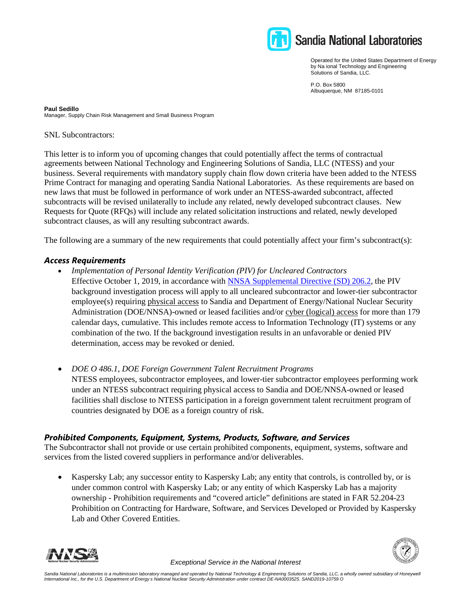

Operated for the United States Department of Energy by Na ional Technology and Engineering Solutions of Sandia, LLC.

P.O. Box 5800 Albuquerque, NM 87185-0101

**Paul Sedillo** Manager, Supply Chain Risk Management and Small Business Program

SNL Subcontractors:

This letter is to inform you of upcoming changes that could potentially affect the terms of contractual agreements between National Technology and Engineering Solutions of Sandia, LLC (NTESS) and your business. Several requirements with mandatory supply chain flow down criteria have been added to the NTESS Prime Contract for managing and operating Sandia National Laboratories. As these requirements are based on new laws that must be followed in performance of work under an NTESS-awarded subcontract, affected subcontracts will be revised unilaterally to include any related, newly developed subcontract clauses. New Requests for Quote (RFQs) will include any related solicitation instructions and related, newly developed subcontract clauses, as will any resulting subcontract awards.

The following are a summary of the new requirements that could potentially affect your firm's subcontract(s):

## *Access Requirements*

- *Implementation of Personal Identity Verification (PIV) for Uncleared Contractors*  Effective October 1, 2019, in accordance with NNSA Supplemental Directive (SD) 206.2, the PIV background investigation process will apply to all uncleared subcontractor and lower-tier subcontractor employee(s) requiring physical access to Sandia and Department of Energy/National Nuclear Security Administration (DOE/NNSA)-owned or leased facilities and/or cyber (logical) access for more than 179 calendar days, cumulative. This includes remote access to Information Technology (IT) systems or any combination of the two. If the background investigation results in an unfavorable or denied PIV determination, access may be revoked or denied.
- *DOE O 486.1, DOE Foreign Government Talent Recruitment Programs*  NTESS employees, subcontractor employees, and lower-tier subcontractor employees performing work under an NTESS subcontract requiring physical access to Sandia and DOE/NNSA-owned or leased facilities shall disclose to NTESS participation in a foreign government talent recruitment program of countries designated by DOE as a foreign country of risk.

## *Prohibited Components, Equipment, Systems, Products, Software, and Services*

The Subcontractor shall not provide or use certain prohibited components, equipment, systems, software and services from the listed covered suppliers in performance and/or deliverables.

• Kaspersky Lab; any successor entity to Kaspersky Lab; any entity that controls, is controlled by, or is under common control with Kaspersky Lab; or any entity of which Kaspersky Lab has a majority ownership - Prohibition requirements and "covered article" definitions are stated in FAR 52.204-23 Prohibition on Contracting for Hardware, Software, and Services Developed or Provided by Kaspersky Lab and Other Covered Entities.